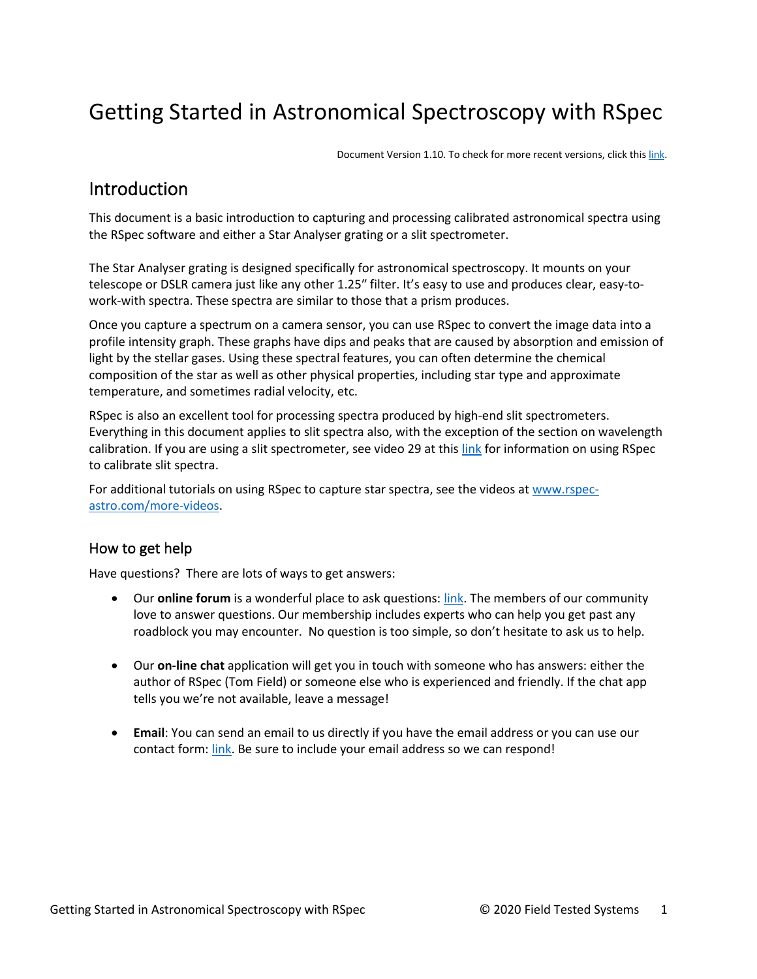# Getting Started in Astronomical Spectroscopy with RSpec

Document Version 1.10. To check for more recent versions, click this [link.](http://www.rspec-astro.com/getting-started-pdf/)

# **Introduction**

This document is a basic introduction to capturing and processing calibrated astronomical spectra using the RSpec software and either a Star Analyser grating or a slit spectrometer.

The Star Analyser grating is designed specifically for astronomical spectroscopy. It mounts on your telescope or DSLR camera just like any other 1.25″ filter. It's easy to use and produces clear, easy-towork-with spectra. These spectra are similar to those that a prism produces.

Once you capture a spectrum on a camera sensor, you can use RSpec to convert the image data into a profile intensity graph. These graphs have dips and peaks that are caused by absorption and emission of light by the stellar gases. Using these spectral features, you can often determine the chemical composition of the star as well as other physical properties, including star type and approximate temperature, and sometimes radial velocity, etc.

RSpec is also an excellent tool for processing spectra produced by high-end slit spectrometers. Everything in this document applies to slit spectra also, with the exception of the section on wavelength calibration. If you are using a slit spectrometer, see video 29 at thi[s link](https://www.rspec-astro.com/more-videos/) for information on using RSpec to calibrate slit spectra.

For additional tutorials on using RSpec to capture star spectra, see the videos a[t www.rspec](http://www.rspec-astro.com/more-videos)[astro.com/more-videos.](http://www.rspec-astro.com/more-videos)

#### How to get help

Have questions? There are lots of ways to get answers:

- Our **online forum** is a wonderful place to ask questions: [link.](https://groups.io/g/RSpec-Astronomy) The members of our community love to answer questions. Our membership includes experts who can help you get past any roadblock you may encounter. No question is too simple, so don't hesitate to ask us to help.
- Our **on-line chat** application will get you in touch with someone who has answers: either the author of RSpec (Tom Field) or someone else who is experienced and friendly. If the chat app tells you we're not available, leave a message!
- **Email**: You can send an email to us directly if you have the email address or you can use our contact form: [link.](http://www.rspec-astro.com/contact) Be sure to include your email address so we can respond!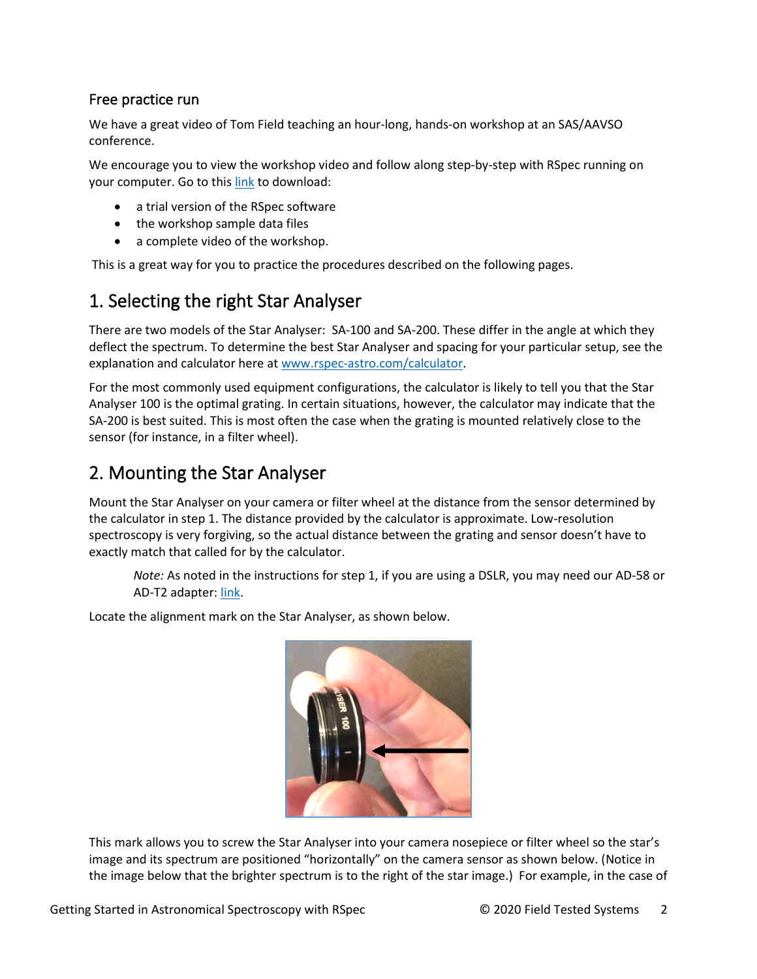#### Free practice run

We have a great video of Tom Field teaching an hour-long, hands-on workshop at an SAS/AAVSO conference.

We encourage you to view the workshop video and follow along step-by-step with RSpec running on your computer. Go to this [link](https://www.rspec-astro.com/setupdownload/) to download:

- a trial version of the RSpec software
- the workshop sample data files
- a complete video of the workshop.

This is a great way for you to practice the procedures described on the following pages.

# 1. Selecting the right Star Analyser

There are two models of the Star Analyser: SA-100 and SA-200. These differ in the angle at which they deflect the spectrum. To determine the best Star Analyser and spacing for your particular setup, see the explanation and calculator here a[t www.rspec-astro.com/calculator.](http://www.rspec-astro.com/calculator)

For the most commonly used equipment configurations, the calculator is likely to tell you that the Star Analyser 100 is the optimal grating. In certain situations, however, the calculator may indicate that the SA-200 is best suited. This is most often the case when the grating is mounted relatively close to the sensor (for instance, in a filter wheel).

# 2. Mounting the Star Analyser

Mount the Star Analyser on your camera or filter wheel at the distance from the sensor determined by the calculator in step 1. The distance provided by the calculator is approximate. Low-resolution spectroscopy is very forgiving, so the actual distance between the grating and sensor doesn't have to exactly match that called for by the calculator.

*Note:* As noted in the instructions for step 1, if you are using a DSLR, you may need our AD-58 or AD-T2 adapter[: link.](https://www.rspec-astro.com/dslr-adapter/)

Locate the alignment mark on the Star Analyser, as shown below.



This mark allows you to screw the Star Analyser into your camera nosepiece or filter wheel so the star's image and its spectrum are positioned "horizontally" on the camera sensor as shown below. (Notice in the image below that the brighter spectrum is to the right of the star image.) For example, in the case of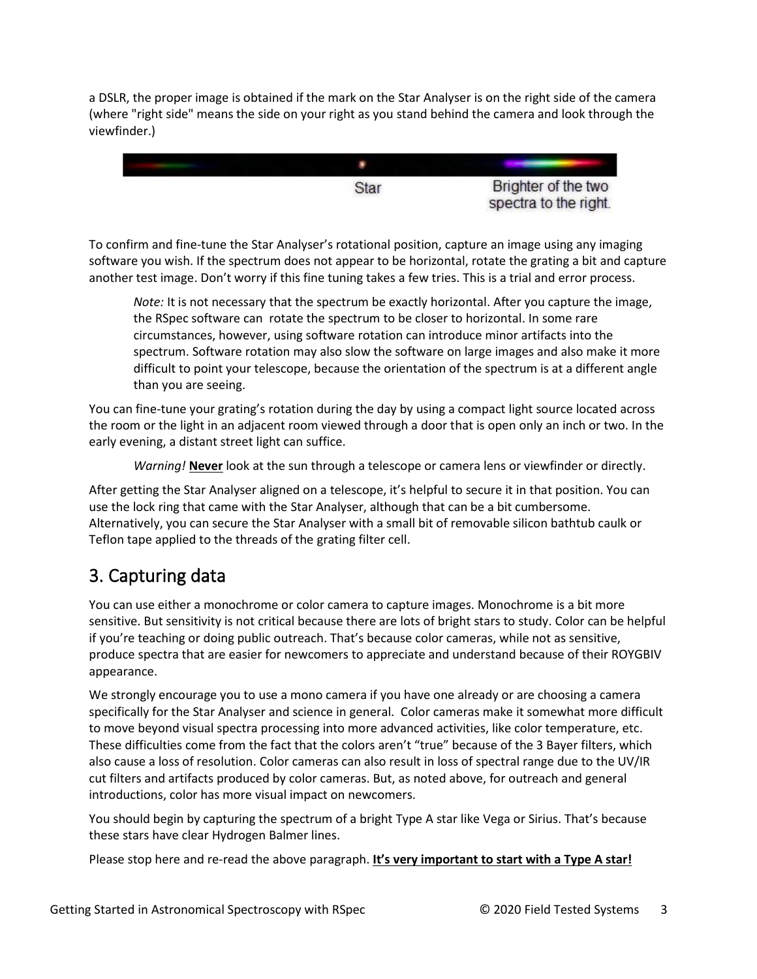a DSLR, the proper image is obtained if the mark on the Star Analyser is on the right side of the camera (where "right side" means the side on your right as you stand behind the camera and look through the viewfinder.)



To confirm and fine-tune the Star Analyser's rotational position, capture an image using any imaging software you wish. If the spectrum does not appear to be horizontal, rotate the grating a bit and capture another test image. Don't worry if this fine tuning takes a few tries. This is a trial and error process.

*Note:* It is not necessary that the spectrum be exactly horizontal. After you capture the image, the RSpec software can rotate the spectrum to be closer to horizontal. In some rare circumstances, however, using software rotation can introduce minor artifacts into the spectrum. Software rotation may also slow the software on large images and also make it more difficult to point your telescope, because the orientation of the spectrum is at a different angle than you are seeing.

You can fine-tune your grating's rotation during the day by using a compact light source located across the room or the light in an adjacent room viewed through a door that is open only an inch or two. In the early evening, a distant street light can suffice.

*Warning!* **Never** look at the sun through a telescope or camera lens or viewfinder or directly.

After getting the Star Analyser aligned on a telescope, it's helpful to secure it in that position. You can use the lock ring that came with the Star Analyser, although that can be a bit cumbersome. Alternatively, you can secure the Star Analyser with a small bit of removable silicon bathtub caulk or Teflon tape applied to the threads of the grating filter cell.

# 3. Capturing data

You can use either a monochrome or color camera to capture images. Monochrome is a bit more sensitive. But sensitivity is not critical because there are lots of bright stars to study. Color can be helpful if you're teaching or doing public outreach. That's because color cameras, while not as sensitive, produce spectra that are easier for newcomers to appreciate and understand because of their ROYGBIV appearance.

We strongly encourage you to use a mono camera if you have one already or are choosing a camera specifically for the Star Analyser and science in general. Color cameras make it somewhat more difficult to move beyond visual spectra processing into more advanced activities, like color temperature, etc. These difficulties come from the fact that the colors aren't "true" because of the 3 Bayer filters, which also cause a loss of resolution. Color cameras can also result in loss of spectral range due to the UV/IR cut filters and artifacts produced by color cameras. But, as noted above, for outreach and general introductions, color has more visual impact on newcomers.

You should begin by capturing the spectrum of a bright Type A star like Vega or Sirius. That's because these stars have clear Hydrogen Balmer lines.

Please stop here and re-read the above paragraph. **It's very important to start with a Type A star!**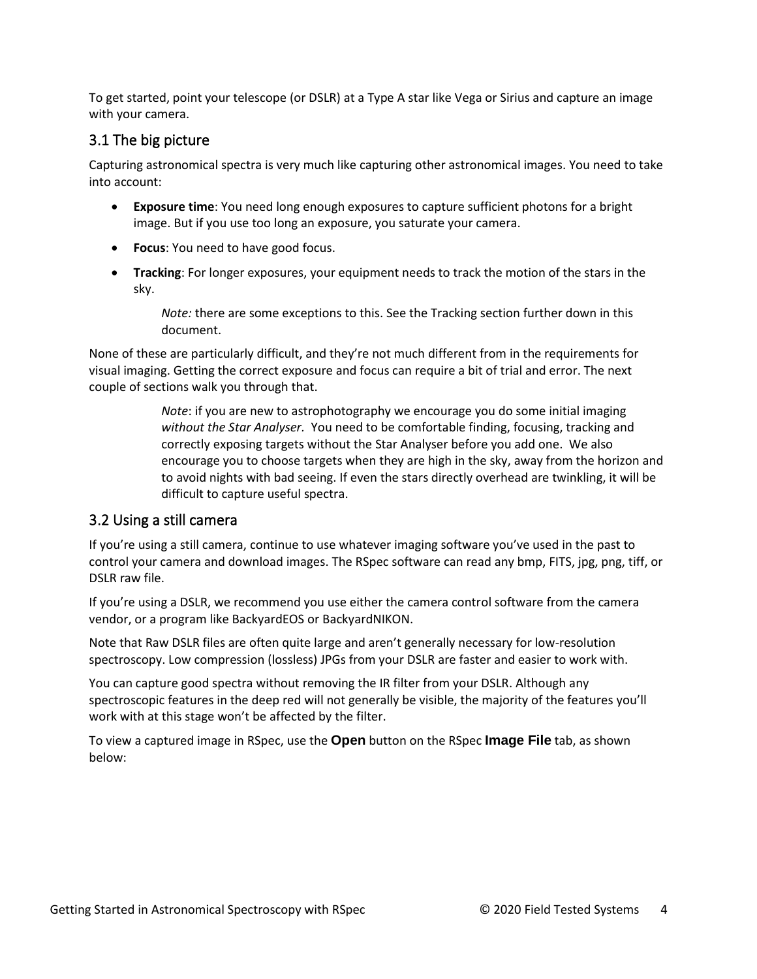To get started, point your telescope (or DSLR) at a Type A star like Vega or Sirius and capture an image with your camera.

#### 3.1 The big picture

Capturing astronomical spectra is very much like capturing other astronomical images. You need to take into account:

- **Exposure time**: You need long enough exposures to capture sufficient photons for a bright image. But if you use too long an exposure, you saturate your camera.
- **Focus**: You need to have good focus.
- **Tracking**: For longer exposures, your equipment needs to track the motion of the stars in the sky.

*Note:* there are some exceptions to this. See the Tracking section further down in this document.

None of these are particularly difficult, and they're not much different from in the requirements for visual imaging. Getting the correct exposure and focus can require a bit of trial and error. The next couple of sections walk you through that.

> *Note*: if you are new to astrophotography we encourage you do some initial imaging *without the Star Analyser.* You need to be comfortable finding, focusing, tracking and correctly exposing targets without the Star Analyser before you add one. We also encourage you to choose targets when they are high in the sky, away from the horizon and to avoid nights with bad seeing. If even the stars directly overhead are twinkling, it will be difficult to capture useful spectra.

### 3.2 Using a still camera

If you're using a still camera, continue to use whatever imaging software you've used in the past to control your camera and download images. The RSpec software can read any bmp, FITS, jpg, png, tiff, or DSLR raw file.

If you're using a DSLR, we recommend you use either the camera control software from the camera vendor, or a program like BackyardEOS or BackyardNIKON.

Note that Raw DSLR files are often quite large and aren't generally necessary for low-resolution spectroscopy. Low compression (lossless) JPGs from your DSLR are faster and easier to work with.

You can capture good spectra without removing the IR filter from your DSLR. Although any spectroscopic features in the deep red will not generally be visible, the majority of the features you'll work with at this stage won't be affected by the filter.

To view a captured image in RSpec, use the **Open** button on the RSpec **Image File** tab, as shown below: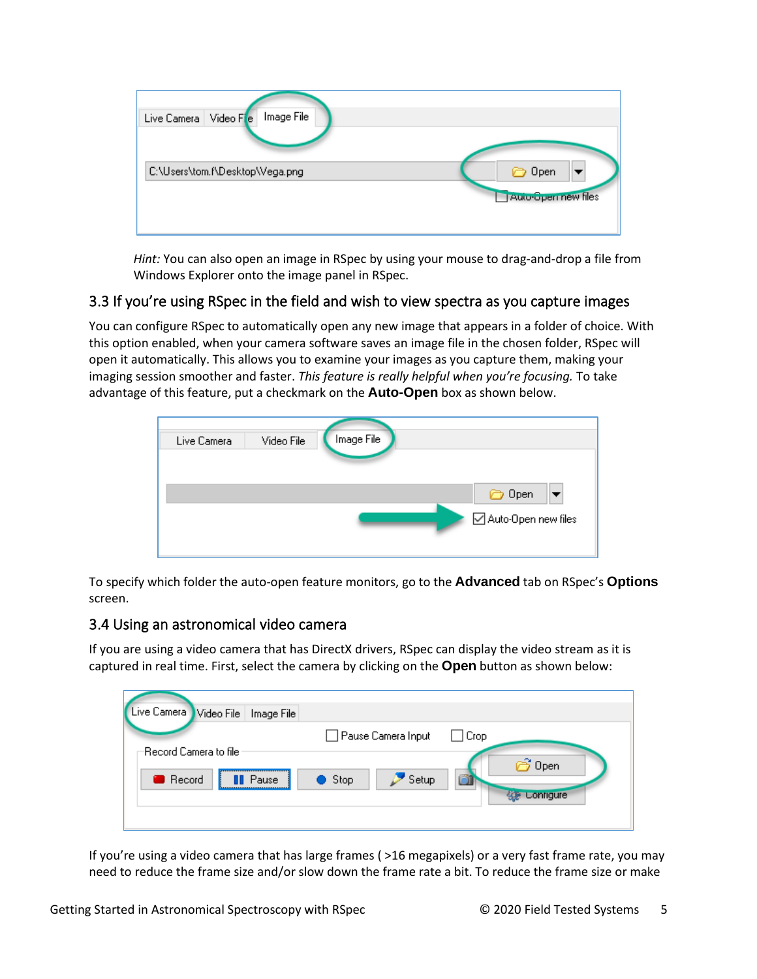

*Hint:* You can also open an image in RSpec by using your mouse to drag-and-drop a file from Windows Explorer onto the image panel in RSpec.

#### 3.3 If you're using RSpec in the field and wish to view spectra as you capture images

You can configure RSpec to automatically open any new image that appears in a folder of choice. With this option enabled, when your camera software saves an image file in the chosen folder, RSpec will open it automatically. This allows you to examine your images as you capture them, making your imaging session smoother and faster. *This feature is really helpful when you're focusing.* To take advantage of this feature, put a checkmark on the **Auto-Open** box as shown below.

| Live Camera | Video File | Image File |                       |
|-------------|------------|------------|-----------------------|
|             |            |            |                       |
|             |            |            | to Open               |
|             |            |            | ○ Auto-Open new files |

To specify which folder the auto-open feature monitors, go to the **Advanced** tab on RSpec's **Options** screen.

#### 3.4 Using an astronomical video camera

If you are using a video camera that has DirectX drivers, RSpec can display the video stream as it is captured in real time. First, select the camera by clicking on the **Open** button as shown below:

| Live Camera Video File<br>Image File |                         |                  |
|--------------------------------------|-------------------------|------------------|
|                                      | Pause Camera Input      | Crop             |
| Record Camera to file:               |                         | <b>B</b> Open    |
| <b>B</b> Record<br>Pause             | Setup<br>$\bullet$ Stop |                  |
|                                      |                         | <b>Lontigure</b> |
|                                      |                         |                  |

If you're using a video camera that has large frames ( >16 megapixels) or a very fast frame rate, you may need to reduce the frame size and/or slow down the frame rate a bit. To reduce the frame size or make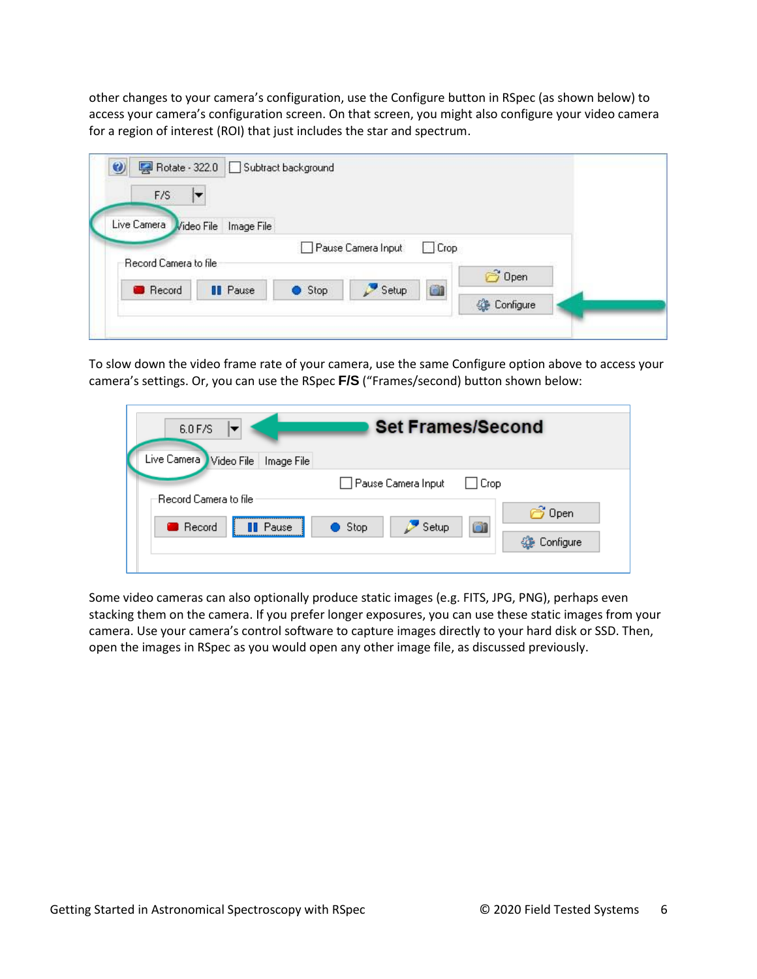other changes to your camera's configuration, use the Configure button in RSpec (as shown below) to access your camera's configuration screen. On that screen, you might also configure your video camera for a region of interest (ROI) that just includes the star and spectrum.

| $\bullet$<br>F/S      | Rotate - 322.0 Subtract background |      |                    |             |               |  |
|-----------------------|------------------------------------|------|--------------------|-------------|---------------|--|
| F<br>Live Camera      | Video File Image File              |      |                    |             |               |  |
| Record Camera to file |                                    |      | Pause Camera Input | $\Box$ Crop | <b>3</b> Open |  |
| <b>Record</b>         | <b>II</b> Pause                    | Stop | Setup              | G1          | Configure     |  |

To slow down the video frame rate of your camera, use the same Configure option above to access your camera's settings. Or, you can use the RSpec **F/S** ("Frames/second) button shown below:

| 6.0 F/S<br>Live Camera Video File<br>Image File     | <b>Set Frames/Second</b>                                        |
|-----------------------------------------------------|-----------------------------------------------------------------|
|                                                     | □ Pause Camera Input  <br>$\Box$ Crop                           |
| Record Camera to file.<br>Record<br><b>II</b> Pause | <b>B</b> Open<br>ôı<br>$\bullet$ Stop<br>' Setup<br>《 Configure |

Some video cameras can also optionally produce static images (e.g. FITS, JPG, PNG), perhaps even stacking them on the camera. If you prefer longer exposures, you can use these static images from your camera. Use your camera's control software to capture images directly to your hard disk or SSD. Then, open the images in RSpec as you would open any other image file, as discussed previously.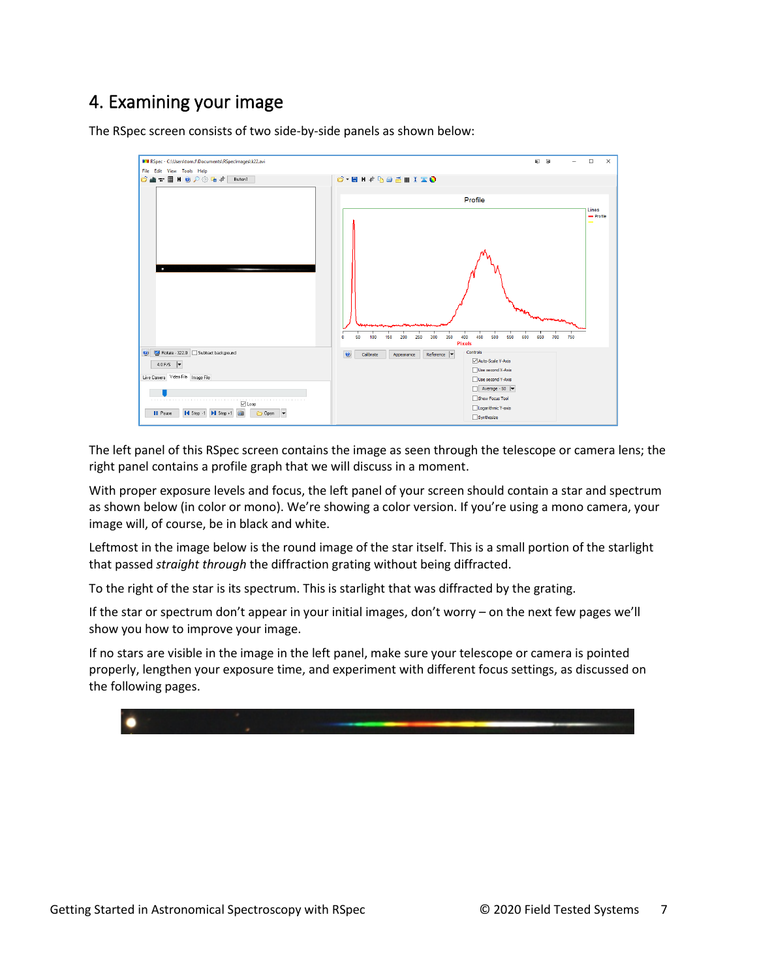# 4. Examining your image

The RSpec screen consists of two side-by-side panels as shown below:



The left panel of this RSpec screen contains the image as seen through the telescope or camera lens; the right panel contains a profile graph that we will discuss in a moment.

With proper exposure levels and focus, the left panel of your screen should contain a star and spectrum as shown below (in color or mono). We're showing a color version. If you're using a mono camera, your image will, of course, be in black and white.

Leftmost in the image below is the round image of the star itself. This is a small portion of the starlight that passed *straight through* the diffraction grating without being diffracted.

To the right of the star is its spectrum. This is starlight that was diffracted by the grating.

If the star or spectrum don't appear in your initial images, don't worry – on the next few pages we'll show you how to improve your image.

If no stars are visible in the image in the left panel, make sure your telescope or camera is pointed properly, lengthen your exposure time, and experiment with different focus settings, as discussed on the following pages.

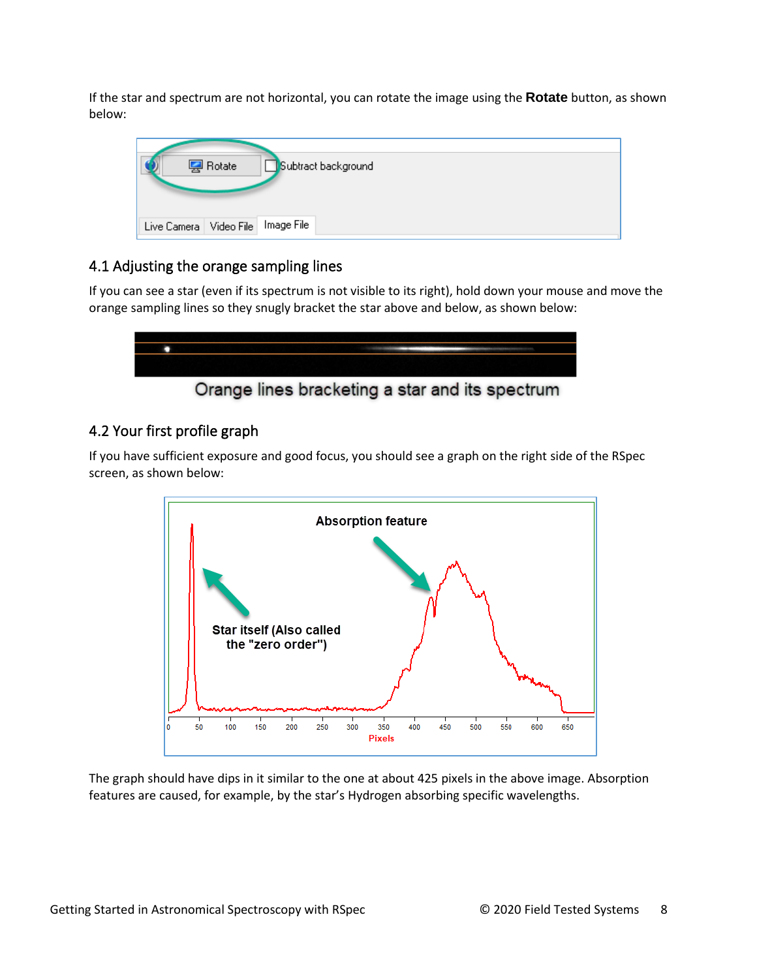If the star and spectrum are not horizontal, you can rotate the image using the **Rotate** button, as shown below:

|                                       | <b>图</b> Rotate | Subtract background |
|---------------------------------------|-----------------|---------------------|
| Live Camera   Video File   Image File |                 |                     |

### 4.1 Adjusting the orange sampling lines

If you can see a star (even if its spectrum is not visible to its right), hold down your mouse and move the orange sampling lines so they snugly bracket the star above and below, as shown below:



# Orange lines bracketing a star and its spectrum

### 4.2 Your first profile graph

If you have sufficient exposure and good focus, you should see a graph on the right side of the RSpec screen, as shown below:



The graph should have dips in it similar to the one at about 425 pixels in the above image. Absorption features are caused, for example, by the star's Hydrogen absorbing specific wavelengths.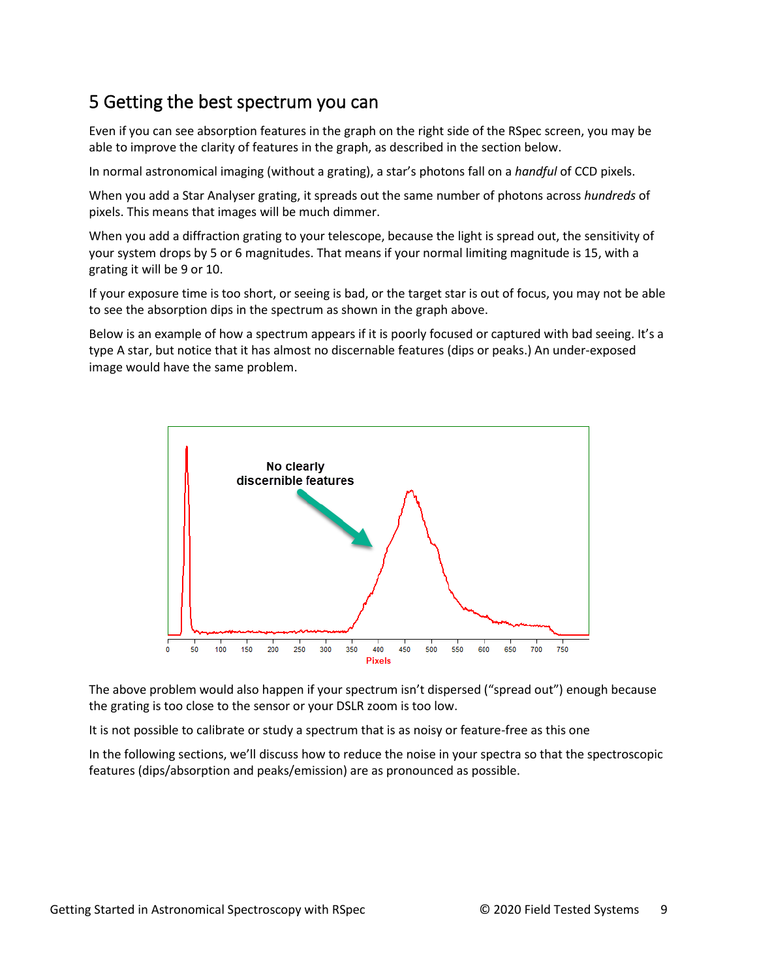# 5 Getting the best spectrum you can

Even if you can see absorption features in the graph on the right side of the RSpec screen, you may be able to improve the clarity of features in the graph, as described in the section below.

In normal astronomical imaging (without a grating), a star's photons fall on a *handful* of CCD pixels.

When you add a Star Analyser grating, it spreads out the same number of photons across *hundreds* of pixels. This means that images will be much dimmer.

When you add a diffraction grating to your telescope, because the light is spread out, the sensitivity of your system drops by 5 or 6 magnitudes. That means if your normal limiting magnitude is 15, with a grating it will be 9 or 10.

If your exposure time is too short, or seeing is bad, or the target star is out of focus, you may not be able to see the absorption dips in the spectrum as shown in the graph above.

Below is an example of how a spectrum appears if it is poorly focused or captured with bad seeing. It's a type A star, but notice that it has almost no discernable features (dips or peaks.) An under-exposed image would have the same problem.



The above problem would also happen if your spectrum isn't dispersed ("spread out") enough because the grating is too close to the sensor or your DSLR zoom is too low.

It is not possible to calibrate or study a spectrum that is as noisy or feature-free as this one

In the following sections, we'll discuss how to reduce the noise in your spectra so that the spectroscopic features (dips/absorption and peaks/emission) are as pronounced as possible.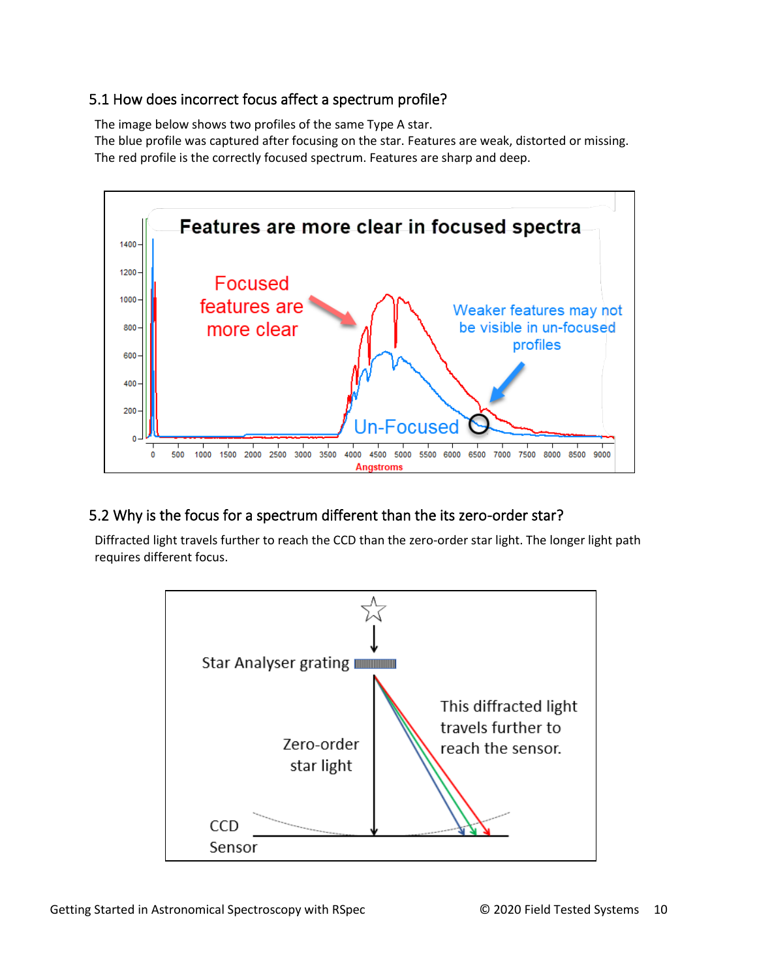### 5.1 How does incorrect focus affect a spectrum profile?

The image below shows two profiles of the same Type A star.

The blue profile was captured after focusing on the star. Features are weak, distorted or missing. The red profile is the correctly focused spectrum. Features are sharp and deep.



## 5.2 Why is the focus for a spectrum different than the its zero-order star?

Diffracted light travels further to reach the CCD than the zero-order star light. The longer light path requires different focus.

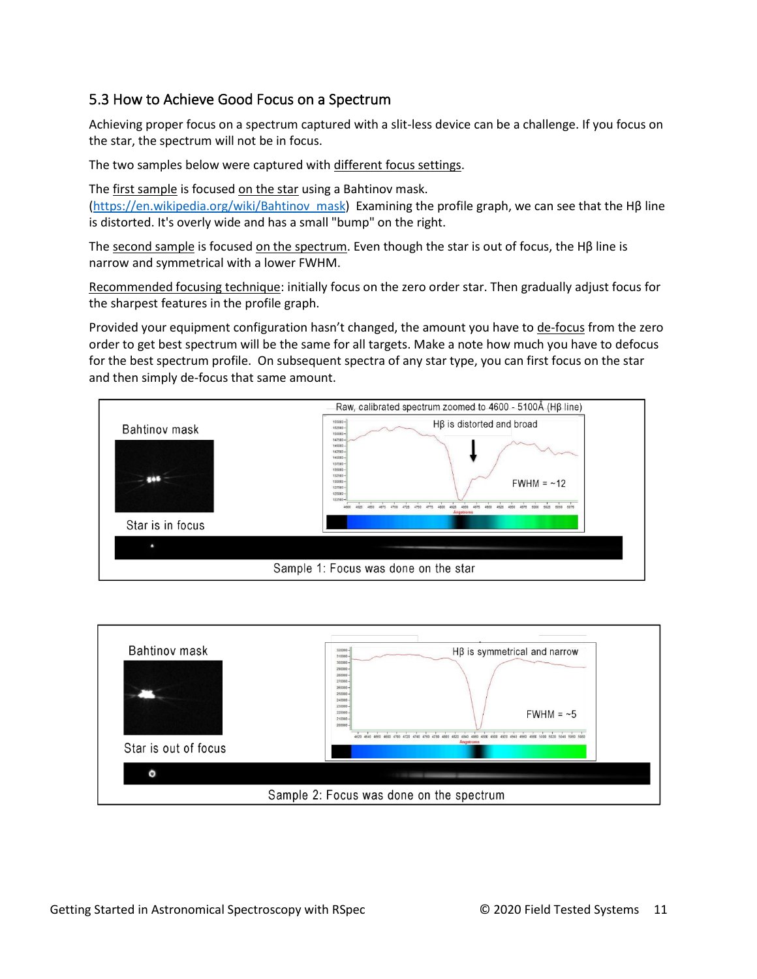### 5.3 How to Achieve Good Focus on a Spectrum

Achieving proper focus on a spectrum captured with a slit-less device can be a challenge. If you focus on the star, the spectrum will not be in focus.

The two samples below were captured with different focus settings.

The first sample is focused on the star using a Bahtinov mask. [\(https://en.wikipedia.org/wiki/Bahtinov\\_mask\)](https://en.wikipedia.org/wiki/Bahtinov_mask) Examining the profile graph, we can see that the Hβ line is distorted. It's overly wide and has a small "bump" on the right.

The second sample is focused on the spectrum. Even though the star is out of focus, the H $\beta$  line is narrow and symmetrical with a lower FWHM.

Recommended focusing technique: initially focus on the zero order star. Then gradually adjust focus for the sharpest features in the profile graph.

Provided your equipment configuration hasn't changed, the amount you have to de-focus from the zero order to get best spectrum will be the same for all targets. Make a note how much you have to defocus for the best spectrum profile. On subsequent spectra of any star type, you can first focus on the star and then simply de-focus that same amount.



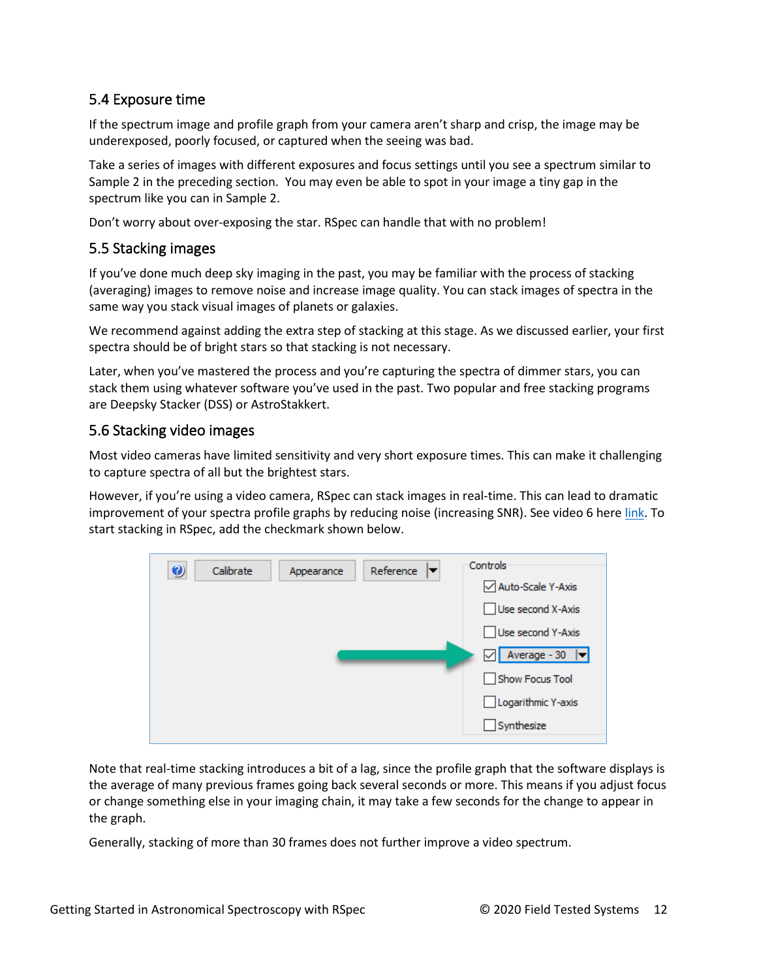### 5.4 Exposure time

If the spectrum image and profile graph from your camera aren't sharp and crisp, the image may be underexposed, poorly focused, or captured when the seeing was bad.

Take a series of images with different exposures and focus settings until you see a spectrum similar to Sample 2 in the preceding section. You may even be able to spot in your image a tiny gap in the spectrum like you can in Sample 2.

Don't worry about over-exposing the star. RSpec can handle that with no problem!

#### 5.5 Stacking images

If you've done much deep sky imaging in the past, you may be familiar with the process of stacking (averaging) images to remove noise and increase image quality. You can stack images of spectra in the same way you stack visual images of planets or galaxies.

We recommend against adding the extra step of stacking at this stage. As we discussed earlier, your first spectra should be of bright stars so that stacking is not necessary.

Later, when you've mastered the process and you're capturing the spectra of dimmer stars, you can stack them using whatever software you've used in the past. Two popular and free stacking programs are Deepsky Stacker (DSS) or AstroStakkert.

#### 5.6 Stacking video images

Most video cameras have limited sensitivity and very short exposure times. This can make it challenging to capture spectra of all but the brightest stars.

However, if you're using a video camera, RSpec can stack images in real-time. This can lead to dramatic improvement of your spectra profile graphs by reducing noise (increasing SNR). See video 6 here [link.](https://www.rspec-astro.com/more-videos/) To start stacking in RSpec, add the checkmark shown below.

| Auto-Scale Y-Axis<br>Use second X-Axis<br>Use second Y-Axis<br>$\boxed{\triangle}$ Average - 30 | $\bullet$<br>Calibrate<br>Appearance | Reference<br>▼ | Controls |
|-------------------------------------------------------------------------------------------------|--------------------------------------|----------------|----------|
|                                                                                                 |                                      |                |          |
|                                                                                                 |                                      |                |          |
|                                                                                                 |                                      |                |          |
|                                                                                                 |                                      |                |          |
| Show Focus Tool                                                                                 |                                      |                |          |
| Logarithmic Y-axis                                                                              |                                      |                |          |
| Synthesize                                                                                      |                                      |                |          |

Note that real-time stacking introduces a bit of a lag, since the profile graph that the software displays is the average of many previous frames going back several seconds or more. This means if you adjust focus or change something else in your imaging chain, it may take a few seconds for the change to appear in the graph.

Generally, stacking of more than 30 frames does not further improve a video spectrum.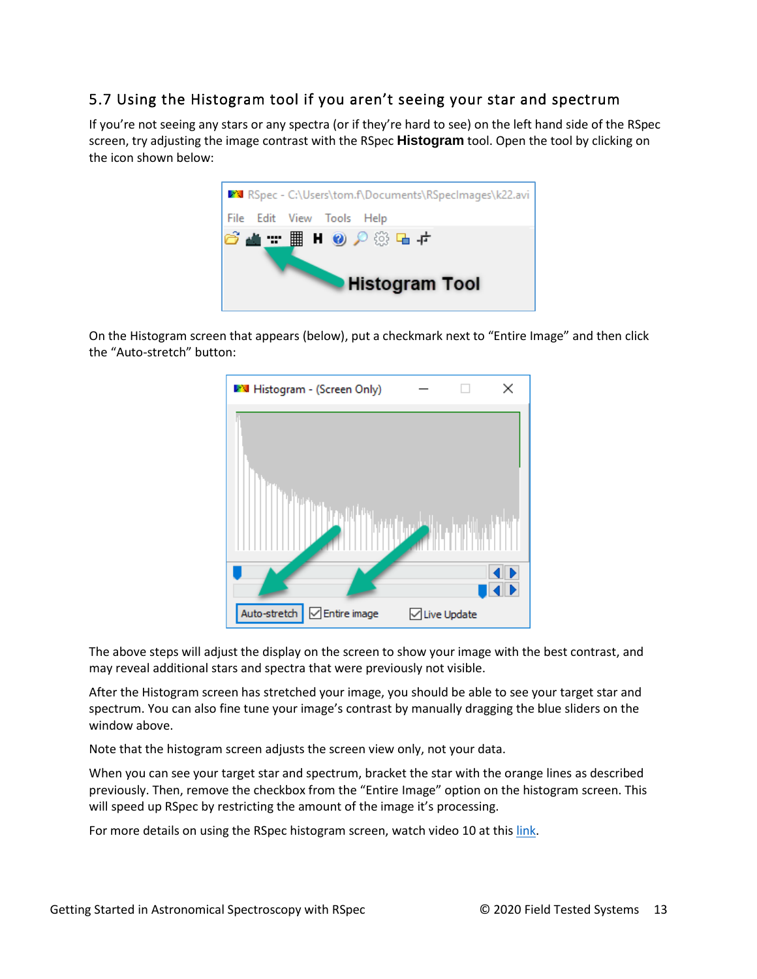### 5.7 Using the Histogram tool if you aren't seeing your star and spectrum

If you're not seeing any stars or any spectra (or if they're hard to see) on the left hand side of the RSpec screen, try adjusting the image contrast with the RSpec **Histogram** tool. Open the tool by clicking on the icon shown below:



On the Histogram screen that appears (below), put a checkmark next to "Entire Image" and then click the "Auto-stretch" button:

| <b>M</b> Histogram - (Screen Only)       |               | × |
|------------------------------------------|---------------|---|
|                                          |               |   |
|                                          |               |   |
| Auto-stretch<br>$\sqrt{\ }$ Entire image | □ Live Update |   |

The above steps will adjust the display on the screen to show your image with the best contrast, and may reveal additional stars and spectra that were previously not visible.

After the Histogram screen has stretched your image, you should be able to see your target star and spectrum. You can also fine tune your image's contrast by manually dragging the blue sliders on the window above.

Note that the histogram screen adjusts the screen view only, not your data.

When you can see your target star and spectrum, bracket the star with the orange lines as described previously. Then, remove the checkbox from the "Entire Image" option on the histogram screen. This will speed up RSpec by restricting the amount of the image it's processing.

For more details on using the RSpec histogram screen, watch video 10 at thi[s link.](https://www.rspec-astro.com/more-videos/)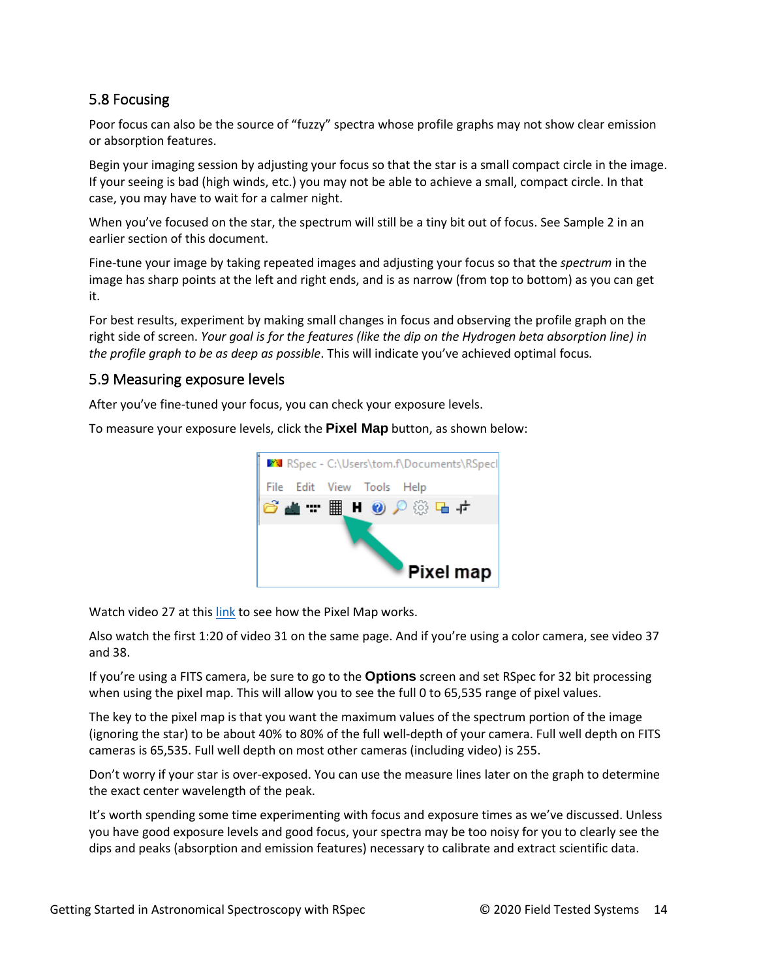### 5.8 Focusing

Poor focus can also be the source of "fuzzy" spectra whose profile graphs may not show clear emission or absorption features.

Begin your imaging session by adjusting your focus so that the star is a small compact circle in the image. If your seeing is bad (high winds, etc.) you may not be able to achieve a small, compact circle. In that case, you may have to wait for a calmer night.

When you've focused on the star, the spectrum will still be a tiny bit out of focus. See Sample 2 in an earlier section of this document.

Fine-tune your image by taking repeated images and adjusting your focus so that the *spectrum* in the image has sharp points at the left and right ends, and is as narrow (from top to bottom) as you can get it.

For best results, experiment by making small changes in focus and observing the profile graph on the right side of screen. *Your goal is for the features (like the dip on the Hydrogen beta absorption line) in the profile graph to be as deep as possible*. This will indicate you've achieved optimal focus*.*

#### 5.9 Measuring exposure levels

After you've fine-tuned your focus, you can check your exposure levels.

To measure your exposure levels, click the **Pixel Map** button, as shown below:



Watch video 27 at thi[s link](http://www.rspec-astro.com/more-videos/) to see how the Pixel Map works.

Also watch the first 1:20 of video 31 on the same page. And if you're using a color camera, see video 37 and 38.

If you're using a FITS camera, be sure to go to the **Options** screen and set RSpec for 32 bit processing when using the pixel map. This will allow you to see the full 0 to 65,535 range of pixel values.

The key to the pixel map is that you want the maximum values of the spectrum portion of the image (ignoring the star) to be about 40% to 80% of the full well-depth of your camera. Full well depth on FITS cameras is 65,535. Full well depth on most other cameras (including video) is 255.

Don't worry if your star is over-exposed. You can use the measure lines later on the graph to determine the exact center wavelength of the peak.

It's worth spending some time experimenting with focus and exposure times as we've discussed. Unless you have good exposure levels and good focus, your spectra may be too noisy for you to clearly see the dips and peaks (absorption and emission features) necessary to calibrate and extract scientific data.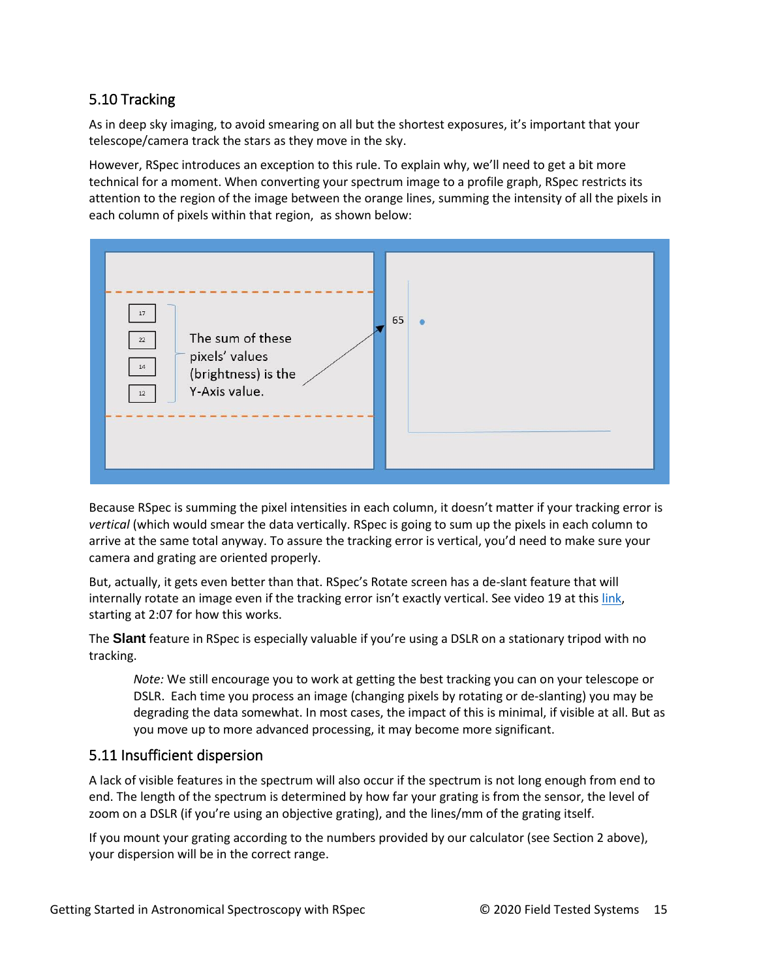### 5.10 Tracking

As in deep sky imaging, to avoid smearing on all but the shortest exposures, it's important that your telescope/camera track the stars as they move in the sky.

However, RSpec introduces an exception to this rule. To explain why, we'll need to get a bit more technical for a moment. When converting your spectrum image to a profile graph, RSpec restricts its attention to the region of the image between the orange lines, summing the intensity of all the pixels in each column of pixels within that region, as shown below:



Because RSpec is summing the pixel intensities in each column, it doesn't matter if your tracking error is *vertical* (which would smear the data vertically. RSpec is going to sum up the pixels in each column to arrive at the same total anyway. To assure the tracking error is vertical, you'd need to make sure your camera and grating are oriented properly.

But, actually, it gets even better than that. RSpec's Rotate screen has a de-slant feature that will internally rotate an image even if the tracking error isn't exactly vertical. See video 19 at this [link,](https://www.rspec-astro.com/videos/NewFeatures6/NewFeatures6.mp4) starting at 2:07 for how this works.

The **Slant** feature in RSpec is especially valuable if you're using a DSLR on a stationary tripod with no tracking.

*Note:* We still encourage you to work at getting the best tracking you can on your telescope or DSLR. Each time you process an image (changing pixels by rotating or de-slanting) you may be degrading the data somewhat. In most cases, the impact of this is minimal, if visible at all. But as you move up to more advanced processing, it may become more significant.

#### 5.11 Insufficient dispersion

A lack of visible features in the spectrum will also occur if the spectrum is not long enough from end to end. The length of the spectrum is determined by how far your grating is from the sensor, the level of zoom on a DSLR (if you're using an objective grating), and the lines/mm of the grating itself.

If you mount your grating according to the numbers provided by our calculator (see Section 2 above), your dispersion will be in the correct range.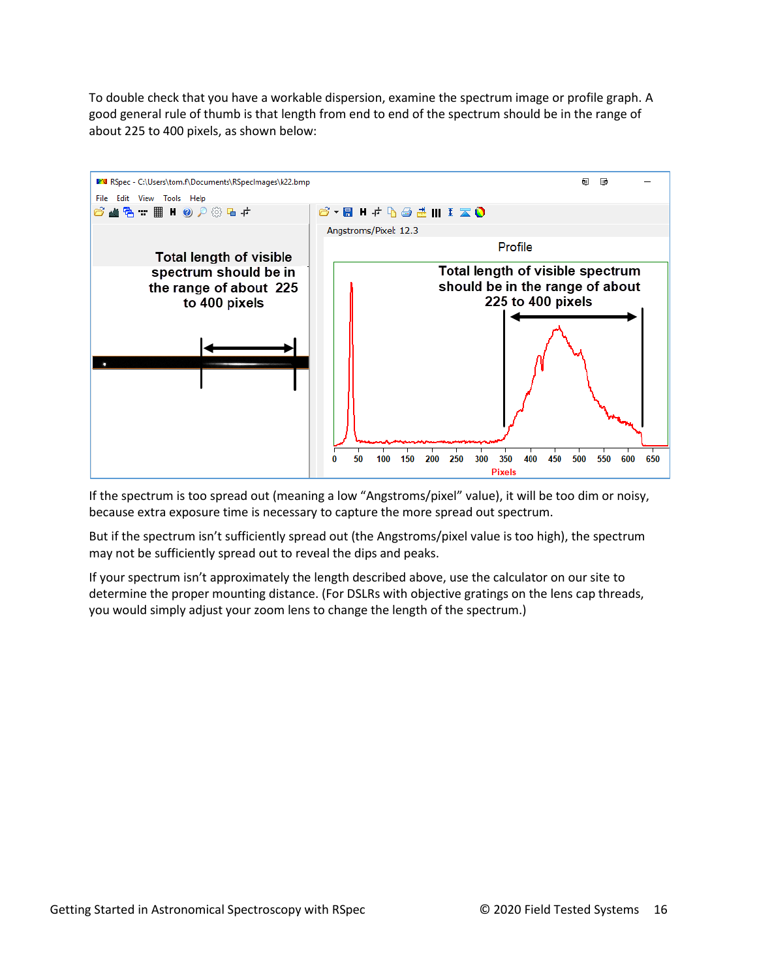To double check that you have a workable dispersion, examine the spectrum image or profile graph. A good general rule of thumb is that length from end to end of the spectrum should be in the range of about 225 to 400 pixels, as shown below:



If the spectrum is too spread out (meaning a low "Angstroms/pixel" value), it will be too dim or noisy, because extra exposure time is necessary to capture the more spread out spectrum.

But if the spectrum isn't sufficiently spread out (the Angstroms/pixel value is too high), the spectrum may not be sufficiently spread out to reveal the dips and peaks.

If your spectrum isn't approximately the length described above, use the calculator on our site to determine the proper mounting distance. (For DSLRs with objective gratings on the lens cap threads, you would simply adjust your zoom lens to change the length of the spectrum.)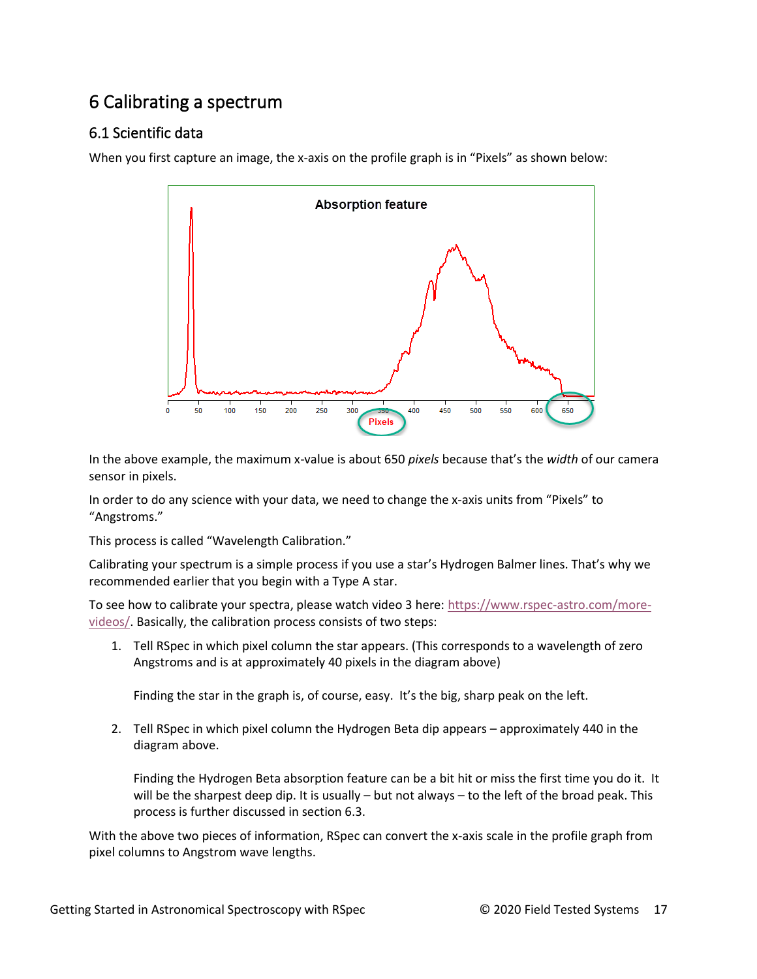# 6 Calibrating a spectrum

## 6.1 Scientific data

When you first capture an image, the x-axis on the profile graph is in "Pixels" as shown below:



In the above example, the maximum x-value is about 650 *pixels* because that's the *width* of our camera sensor in pixels.

In order to do any science with your data, we need to change the x-axis units from "Pixels" to "Angstroms."

This process is called "Wavelength Calibration."

Calibrating your spectrum is a simple process if you use a star's Hydrogen Balmer lines. That's why we recommended earlier that you begin with a Type A star.

To see how to calibrate your spectra, please watch video 3 here: [https://www.rspec-astro.com/more](https://www.rspec-astro.com/more-videos/)[videos/.](https://www.rspec-astro.com/more-videos/) Basically, the calibration process consists of two steps:

1. Tell RSpec in which pixel column the star appears. (This corresponds to a wavelength of zero Angstroms and is at approximately 40 pixels in the diagram above)

Finding the star in the graph is, of course, easy. It's the big, sharp peak on the left.

2. Tell RSpec in which pixel column the Hydrogen Beta dip appears – approximately 440 in the diagram above.

Finding the Hydrogen Beta absorption feature can be a bit hit or miss the first time you do it. It will be the sharpest deep dip. It is usually – but not always – to the left of the broad peak. This process is further discussed in section 6.3.

With the above two pieces of information, RSpec can convert the x-axis scale in the profile graph from pixel columns to Angstrom wave lengths.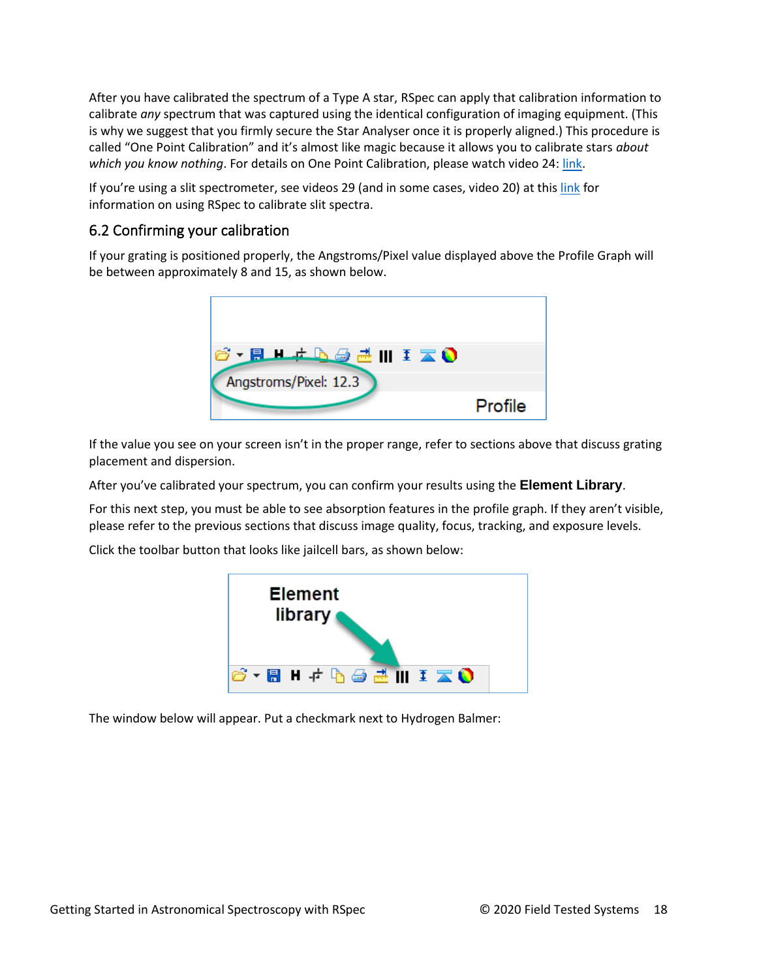After you have calibrated the spectrum of a Type A star, RSpec can apply that calibration information to calibrate *any* spectrum that was captured using the identical configuration of imaging equipment. (This is why we suggest that you firmly secure the Star Analyser once it is properly aligned.) This procedure is called "One Point Calibration" and it's almost like magic because it allows you to calibrate stars *about which you know nothing*. For details on One Point Calibration, please watch video 24: [link.](https://www.rspec-astro.com/more-videos/)

If you're using a slit spectrometer, see videos 29 (and in some cases, video 20) at thi[s link](https://www.rspec-astro.com/more-videos/) for information on using RSpec to calibrate slit spectra.

### 6.2 Confirming your calibration

If your grating is positioned properly, the Angstroms/Pixel value displayed above the Profile Graph will be between approximately 8 and 15, as shown below.



If the value you see on your screen isn't in the proper range, refer to sections above that discuss grating placement and dispersion.

After you've calibrated your spectrum, you can confirm your results using the **Element Library**.

For this next step, you must be able to see absorption features in the profile graph. If they aren't visible, please refer to the previous sections that discuss image quality, focus, tracking, and exposure levels.

Click the toolbar button that looks like jailcell bars, as shown below:



The window below will appear. Put a checkmark next to Hydrogen Balmer: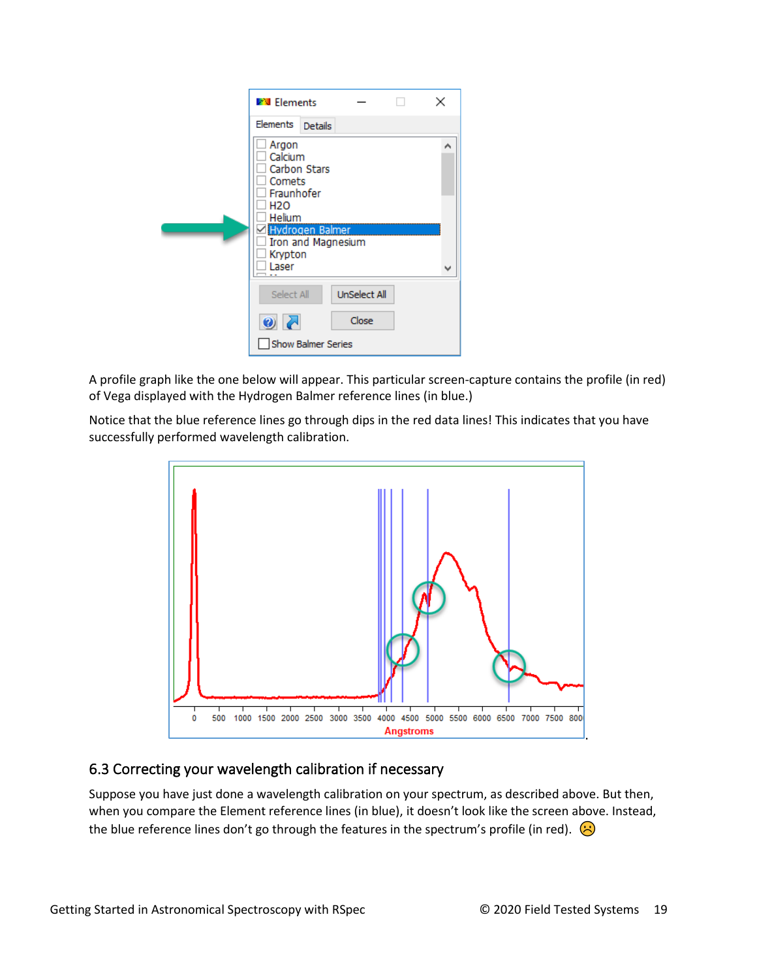| <b>V</b> V Elements                                                                                  |                           |                     | × |
|------------------------------------------------------------------------------------------------------|---------------------------|---------------------|---|
| Elements                                                                                             | Details                   |                     |   |
| Argon<br>Calcium<br>Carbon Stars<br>Comets<br>Fraunhofer<br>H2O<br>Helium<br><b>⊠Hydrogen Balmer</b> | Iron and Magnesium        |                     | ۸ |
| Krypton<br>Laser                                                                                     |                           |                     | v |
| Select All                                                                                           |                           | <b>UnSelect All</b> |   |
| $\bullet$ $\overline{Z}$                                                                             |                           | Close               |   |
|                                                                                                      | <b>Show Balmer Series</b> |                     |   |

A profile graph like the one below will appear. This particular screen-capture contains the profile (in red) of Vega displayed with the Hydrogen Balmer reference lines (in blue.)

Notice that the blue reference lines go through dips in the red data lines! This indicates that you have successfully performed wavelength calibration.



### 6.3 Correcting your wavelength calibration if necessary

Suppose you have just done a wavelength calibration on your spectrum, as described above. But then, when you compare the Element reference lines (in blue), it doesn't look like the screen above. Instead, the blue reference lines don't go through the features in the spectrum's profile (in red).  $\bigodot$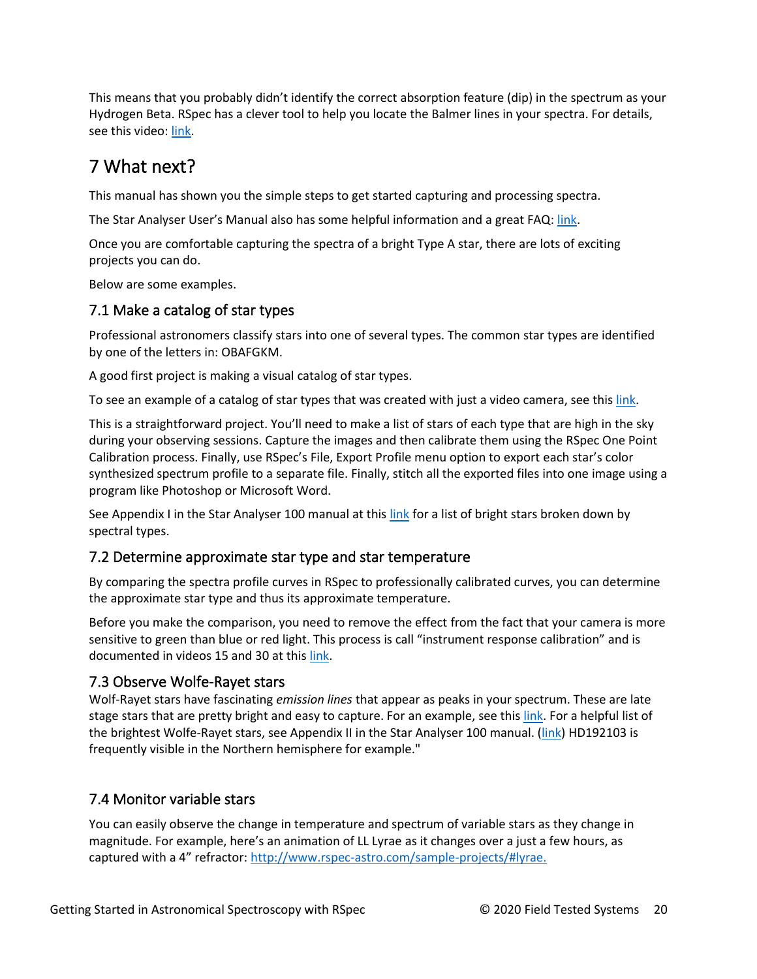This means that you probably didn't identify the correct absorption feature (dip) in the spectrum as your Hydrogen Beta. RSpec has a clever tool to help you locate the Balmer lines in your spectra. For details, see this video[: link.](http://www.rspec-astro.com/videos/OnePointBalmer/OnePointBalmer.mp4)

# 7 What next?

This manual has shown you the simple steps to get started capturing and processing spectra.

The Star Analyser User's Manual also has some helpful information and a great FAQ: [link.](http://www.patonhawksley.co.uk/resources/Star_Analyser_100_Instructions_v1-6.pdf)

Once you are comfortable capturing the spectra of a bright Type A star, there are lots of exciting projects you can do.

Below are some examples.

#### 7.1 Make a catalog of star types

Professional astronomers classify stars into one of several types. The common star types are identified by one of the letters in: OBAFGKM.

A good first project is making a visual catalog of star types.

To see an example of a catalog of star types that was created with just a video camera, see this [link.](https://www.rspec-astro.com/sample-projects/#OBAFGKM)

This is a straightforward project. You'll need to make a list of stars of each type that are high in the sky during your observing sessions. Capture the images and then calibrate them using the RSpec One Point Calibration process. Finally, use RSpec's File, Export Profile menu option to export each star's color synthesized spectrum profile to a separate file. Finally, stitch all the exported files into one image using a program like Photoshop or Microsoft Word.

See Appendix I in the Star Analyser 100 manual at this [link](http://www.patonhawksley.co.uk/resources/Star_Analyser_100_Instructions_v1-6.pdf) for a list of bright stars broken down by spectral types.

#### 7.2 Determine approximate star type and star temperature

By comparing the spectra profile curves in RSpec to professionally calibrated curves, you can determine the approximate star type and thus its approximate temperature.

Before you make the comparison, you need to remove the effect from the fact that your camera is more sensitive to green than blue or red light. This process is call "instrument response calibration" and is documented in videos 15 and 30 at thi[s link.](https://www.rspec-astro.com/more-videos/)

#### 7.3 Observe Wolfe-Rayet stars

Wolf-Rayet stars have fascinating *emission lines* that appear as peaks in your spectrum. These are late stage stars that are pretty bright and easy to capture. For an example, see thi[s link.](https://www.rspec-astro.com/sample-projects/#wolf) For a helpful list of the brightest Wolfe-Rayet stars, see Appendix II in the Star Analyser 100 manual. [\(link\)](http://www.patonhawksley.co.uk/resources/Star_Analyser_100_Instructions_v1-6.pdf) HD192103 is frequently visible in the Northern hemisphere for example."

### 7.4 Monitor variable stars

You can easily observe the change in temperature and spectrum of variable stars as they change in magnitude. For example, here's an animation of LL Lyrae as it changes over a just a few hours, as captured with a 4" refractor: [http://www.rspec-astro.com/sample-projects/#lyrae.](http://www.rspec-astro.com/sample-projects/#lyrae)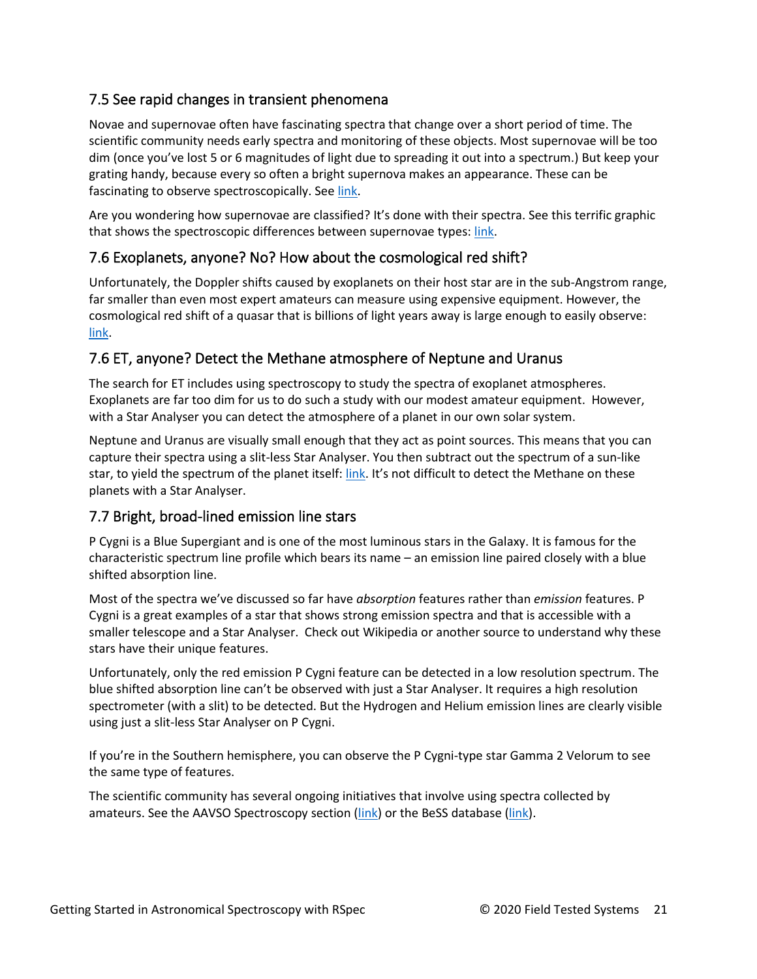## 7.5 See rapid changes in transient phenomena

Novae and supernovae often have fascinating spectra that change over a short period of time. The scientific community needs early spectra and monitoring of these objects. Most supernovae will be too dim (once you've lost 5 or 6 magnitudes of light due to spreading it out into a spectrum.) But keep your grating handy, because every so often a bright supernova makes an appearance. These can be fascinating to observe spectroscopically. See [link.](http://www.rspec-astro.com/sample-projects/#supernova)

Are you wondering how supernovae are classified? It's done with their spectra. See this terrific graphic that shows the spectroscopic differences between supernovae types[: link.](http://supernova.lbl.gov/~dnkasen/tutorial/graphics/sn_types.jpg)

### 7.6 Exoplanets, anyone? No? How about the cosmological red shift?

Unfortunately, the Doppler shifts caused by exoplanets on their host star are in the sub-Angstrom range, far smaller than even most expert amateurs can measure using expensive equipment. However, the cosmological red shift of a quasar that is billions of light years away is large enough to easily observe: [link.](http://www.rspec-astro.com/sample-projects/#3c273)

### 7.6 ET, anyone? Detect the Methane atmosphere of Neptune and Uranus

The search for ET includes using spectroscopy to study the spectra of exoplanet atmospheres. Exoplanets are far too dim for us to do such a study with our modest amateur equipment. However, with a Star Analyser you can detect the atmosphere of a planet in our own solar system.

Neptune and Uranus are visually small enough that they act as point sources. This means that you can capture their spectra using a slit-less Star Analyser. You then subtract out the spectrum of a sun-like star, to yield the spectrum of the planet itself[: link.](http://www.rspec-astro.com/sample-projects/#methane) It's not difficult to detect the Methane on these planets with a Star Analyser.

### 7.7 Bright, broad-lined emission line stars

P Cygni is a Blue Supergiant and is one of the most luminous stars in the Galaxy. It is famous for the characteristic spectrum line profile which bears its name – an emission line paired closely with a blue shifted absorption line.

Most of the spectra we've discussed so far have *absorption* features rather than *emission* features. P Cygni is a great examples of a star that shows strong emission spectra and that is accessible with a smaller telescope and a Star Analyser. Check out Wikipedia or another source to understand why these stars have their unique features.

Unfortunately, only the red emission P Cygni feature can be detected in a low resolution spectrum. The blue shifted absorption line can't be observed with just a Star Analyser. It requires a high resolution spectrometer (with a slit) to be detected. But the Hydrogen and Helium emission lines are clearly visible using just a slit-less Star Analyser on P Cygni.

If you're in the Southern hemisphere, you can observe the P Cygni-type star Gamma 2 Velorum to see the same type of features.

The scientific community has several ongoing initiatives that involve using spectra collected by amateurs. See the AAVSO Spectroscopy section [\(link\)](http://basebe.obspm.fr/basebe/) or the BeSS database (link).